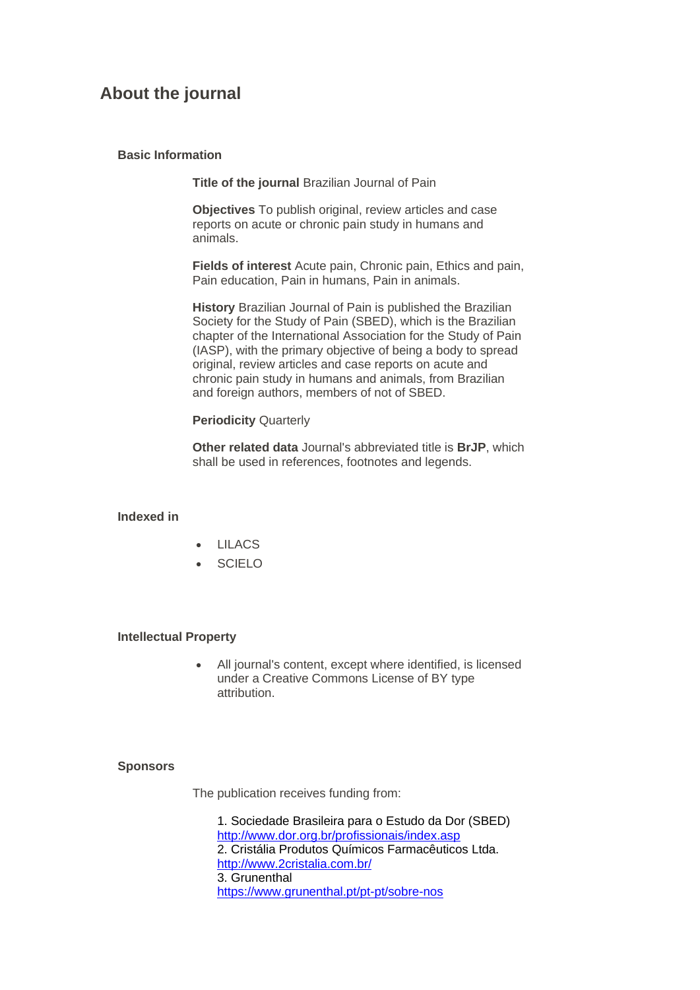# **About the journal**

## **Basic Information**

**Title of the journal** Brazilian Journal of Pain

**Objectives** To publish original, review articles and case reports on acute or chronic pain study in humans and animals.

**Fields of interest** Acute pain, Chronic pain, Ethics and pain, Pain education, Pain in humans, Pain in animals.

**History** Brazilian Journal of Pain is published the Brazilian Society for the Study of Pain (SBED), which is the Brazilian chapter of the International Association for the Study of Pain (IASP), with the primary objective of being a body to spread original, review articles and case reports on acute and chronic pain study in humans and animals, from Brazilian and foreign authors, members of not of SBED.

# **Periodicity** Quarterly

**Other related data** Journal's abbreviated title is **BrJP**, which shall be used in references, footnotes and legends.

#### **Indexed in**

- LILACS
- **SCIELO**

## **Intellectual Property**

• All journal's content, except where identified, is licensed under a Creative Commons License of BY type attribution.

# **Sponsors**

The publication receives funding from:

1. Sociedade Brasileira para o Estudo da Dor (SBED) <http://www.dor.org.br/profissionais/index.asp> 2. Cristália Produtos Químicos Farmacêuticos Ltda. <http://www.2cristalia.com.br/> 3. Grunenthal <https://www.grunenthal.pt/pt-pt/sobre-nos>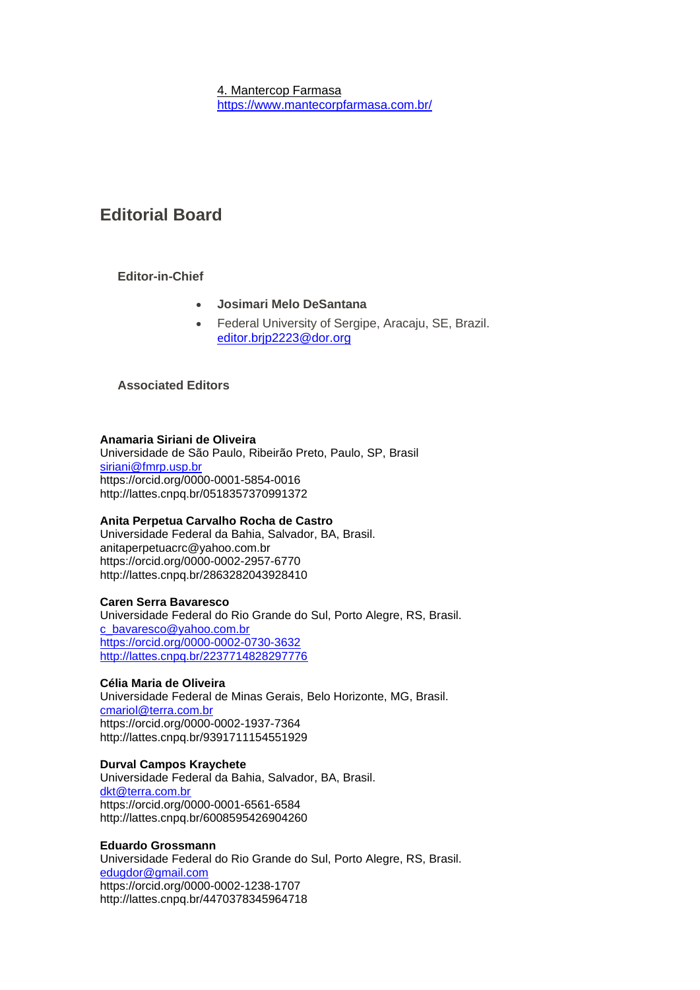4. Mantercop Farmasa <https://www.mantecorpfarmasa.com.br/>

# **Editorial Board**

# **Editor-in-Chief**

- **Josimari Melo DeSantana**
- Federal University of Sergipe, Aracaju, SE, Brazil. e[ditor.brjp2223@dor.org](mailto:editor.brjp2223@dor.org)

# **Associated Editors**

## **Anamaria Siriani de Oliveira**

Universidade de São Paulo, Ribeirão Preto, Paulo, SP, Brasil [siriani@fmrp.usp.br](mailto:siriani@fmrp.usp.br) https://orcid.org/0000-0001-5854-0016 http://lattes.cnpq.br/0518357370991372

# **Anita Perpetua Carvalho Rocha de Castro**

Universidade Federal da Bahia, Salvador, BA, Brasil. anitaperpetuacrc@yahoo.com.br https://orcid.org/0000-0002-2957-6770 http://lattes.cnpq.br/2863282043928410

#### **Caren Serra Bavaresco**

Universidade Federal do Rio Grande do Sul, Porto Alegre, RS, Brasil. [c\\_bavaresco@yahoo.com.br](mailto:c_bavaresco@yahoo.com.br) <https://orcid.org/0000-0002-0730-3632> <http://lattes.cnpq.br/2237714828297776>

# **Célia Maria de Oliveira**

Universidade Federal de Minas Gerais, Belo Horizonte, MG, Brasil. [cmariol@terra.com.br](mailto:cmariol@terra.com.br) https://orcid.org/0000-0002-1937-7364 http://lattes.cnpq.br/9391711154551929

## **Durval Campos Kraychete**

Universidade Federal da Bahia, Salvador, BA, Brasil. [dkt@terra.com.br](mailto:dkt@terra.com.br) https://orcid.org/0000-0001-6561-6584 http://lattes.cnpq.br/6008595426904260

#### **Eduardo Grossmann**

Universidade Federal do Rio Grande do Sul, Porto Alegre, RS, Brasil. [edugdor@gmail.com](mailto:edugdor@gmail.com) https://orcid.org/0000-0002-1238-1707 http://lattes.cnpq.br/4470378345964718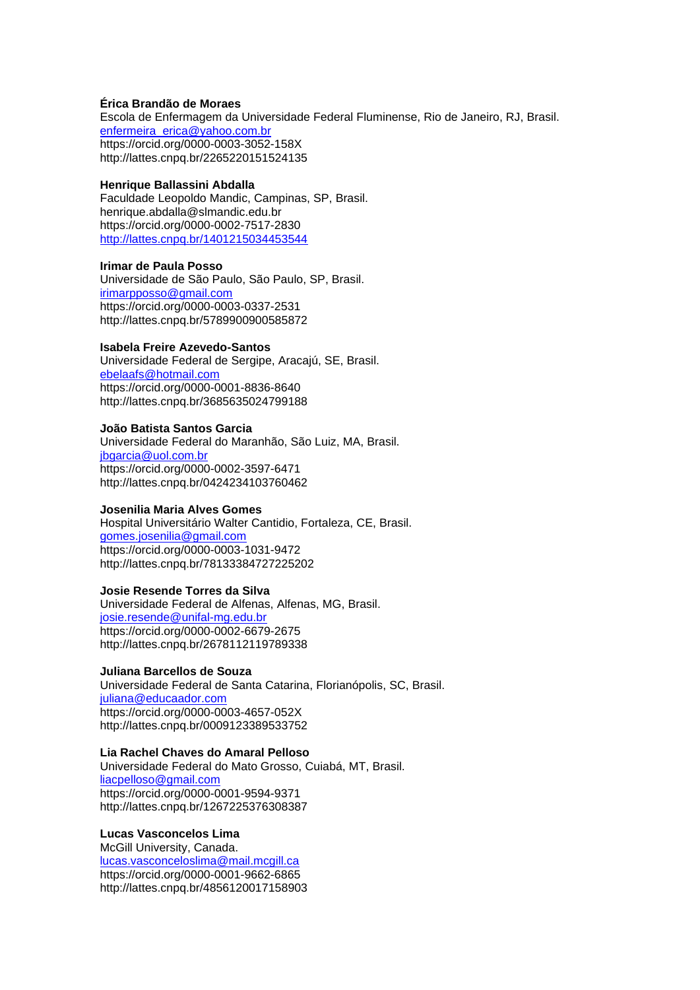### **Érica Brandão de Moraes**

Escola de Enfermagem da Universidade Federal Fluminense, Rio de Janeiro, RJ, Brasil. [enfermeira\\_erica@yahoo.com.br](mailto:enfermeira_erica@yahoo.com.br) https://orcid.org/0000-0003-3052-158X http://lattes.cnpq.br/2265220151524135

#### **Henrique Ballassini Abdalla**

Faculdade Leopoldo Mandic, Campinas, SP, Brasil. henrique.abdalla@slmandic.edu.br https://orcid.org/0000-0002-7517-2830 <http://lattes.cnpq.br/1401215034453544>

#### **Irimar de Paula Posso**

Universidade de São Paulo, São Paulo, SP, Brasil. [irimarpposso@gmail.com](mailto:irimarpposso@gmail.com) https://orcid.org/0000-0003-0337-2531 http://lattes.cnpq.br/5789900900585872

#### **Isabela Freire Azevedo-Santos**

Universidade Federal de Sergipe, Aracajú, SE, Brasil. [ebelaafs@hotmail.com](mailto:ebelaafs@hotmail.com) https://orcid.org/0000-0001-8836-8640 http://lattes.cnpq.br/3685635024799188

#### **João Batista Santos Garcia**

Universidade Federal do Maranhão, São Luiz, MA, Brasil. [jbgarcia@uol.com.br](mailto:jbgarcia@uol.com.br) https://orcid.org/0000-0002-3597-6471 http://lattes.cnpq.br/0424234103760462

## **Josenilia Maria Alves Gomes**

Hospital Universitário Walter Cantidio, Fortaleza, CE, Brasil. [gomes.josenilia@gmail.com](mailto:gomes.josenilia@gmail.com) https://orcid.org/0000-0003-1031-9472 http://lattes.cnpq.br/78133384727225202

## **Josie Resende Torres da Silva**

Universidade Federal de Alfenas, Alfenas, MG, Brasil. [josie.resende@unifal-mg.edu.br](mailto:josie.resende@unifal-mg.edu.br) https://orcid.org/0000-0002-6679-2675 http://lattes.cnpq.br/2678112119789338

#### **Juliana Barcellos de Souza**

Universidade Federal de Santa Catarina, Florianópolis, SC, Brasil. [juliana@educaador.com](mailto:juliana@educaador.com) https://orcid.org/0000-0003-4657-052X http://lattes.cnpq.br/0009123389533752

#### **Lia Rachel Chaves do Amaral Pelloso**

Universidade Federal do Mato Grosso, Cuiabá, MT, Brasil. [liacpelloso@gmail.com](mailto:liacpelloso@gmail.com) https://orcid.org/0000-0001-9594-9371 http://lattes.cnpq.br/1267225376308387

#### **Lucas Vasconcelos Lima**

McGill University, Canada. [lucas.vasconceloslima@mail.mcgill.ca](mailto:lucas.vasconceloslima@mail.mcgill.ca) https://orcid.org/0000-0001-9662-6865 http://lattes.cnpq.br/4856120017158903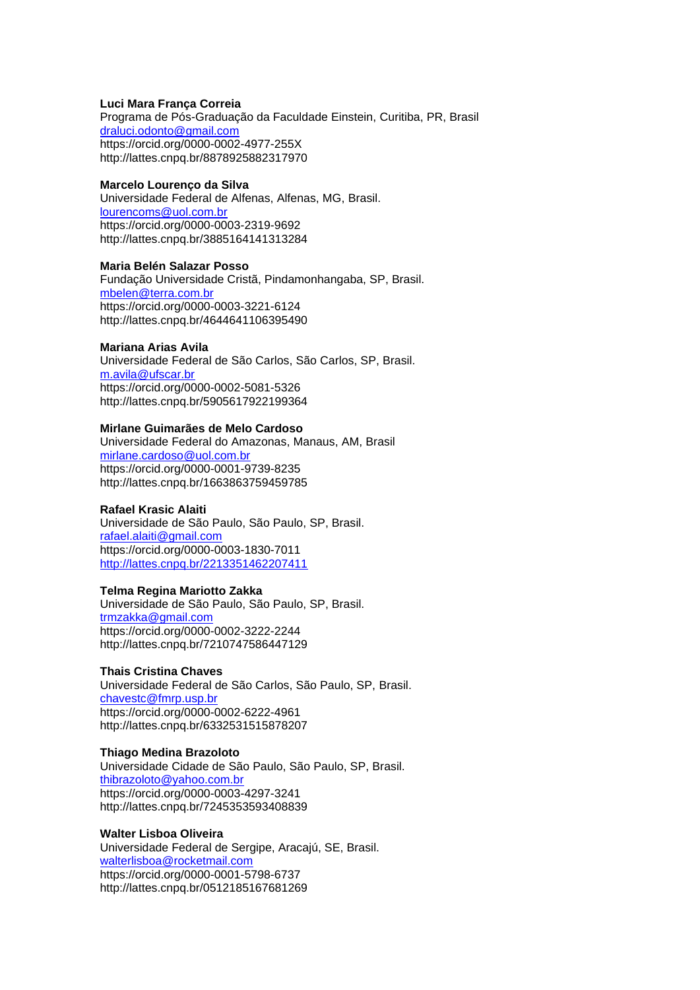### **Luci Mara França Correia**

Programa de Pós-Graduação da Faculdade Einstein, Curitiba, PR, Brasil [draluci.odonto@gmail.com](mailto:draluci.odonto@gmail.com) https://orcid.org/0000-0002-4977-255X http://lattes.cnpq.br/8878925882317970

#### **Marcelo Lourenço da Silva**

Universidade Federal de Alfenas, Alfenas, MG, Brasil. [lourencoms@uol.com.br](mailto:lourencoms@uol.com.br) https://orcid.org/0000-0003-2319-9692 http://lattes.cnpq.br/3885164141313284

#### **Maria Belén Salazar Posso**

Fundação Universidade Cristã, Pindamonhangaba, SP, Brasil. [mbelen@terra.com.br](mailto:mbelen@terra.com.br) https://orcid.org/0000-0003-3221-6124 http://lattes.cnpq.br/4644641106395490

### **Mariana Arias Avila**

Universidade Federal de São Carlos, São Carlos, SP, Brasil. [m.avila@ufscar.br](mailto:m.avila@ufscar.br) https://orcid.org/0000-0002-5081-5326 http://lattes.cnpq.br/5905617922199364

#### **Mirlane Guimarães de Melo Cardoso**

Universidade Federal do Amazonas, Manaus, AM, Brasil [mirlane.cardoso@uol.com.br](mailto:mirlane.cardoso@uol.com.br) https://orcid.org/0000-0001-9739-8235 http://lattes.cnpq.br/1663863759459785

## **Rafael Krasic Alaiti**

Universidade de São Paulo, São Paulo, SP, Brasil. [rafael.alaiti@gmail.com](mailto:rafael.alaiti@gmail.com) https://orcid.org/0000-0003-1830-7011 <http://lattes.cnpq.br/2213351462207411>

## **Telma Regina Mariotto Zakka**

Universidade de São Paulo, São Paulo, SP, Brasil. [trmzakka@gmail.com](mailto:trmzakka@gmail.com) https://orcid.org/0000-0002-3222-2244 http://lattes.cnpq.br/7210747586447129

#### **Thais Cristina Chaves**

Universidade Federal de São Carlos, São Paulo, SP, Brasil. [chavestc@fmrp.usp.br](mailto:chavestc@fmrp.usp.br) https://orcid.org/0000-0002-6222-4961 http://lattes.cnpq.br/6332531515878207

#### **Thiago Medina Brazoloto**

Universidade Cidade de São Paulo, São Paulo, SP, Brasil. [thibrazoloto@yahoo.com.br](mailto:thibrazoloto@yahoo.com.br) https://orcid.org/0000-0003-4297-3241 http://lattes.cnpq.br/7245353593408839

#### **Walter Lisboa Oliveira**

Universidade Federal de Sergipe, Aracajú, SE, Brasil. [walterlisboa@rocketmail.com](mailto:walterlisboa@rocketmail.com) https://orcid.org/0000-0001-5798-6737 http://lattes.cnpq.br/0512185167681269